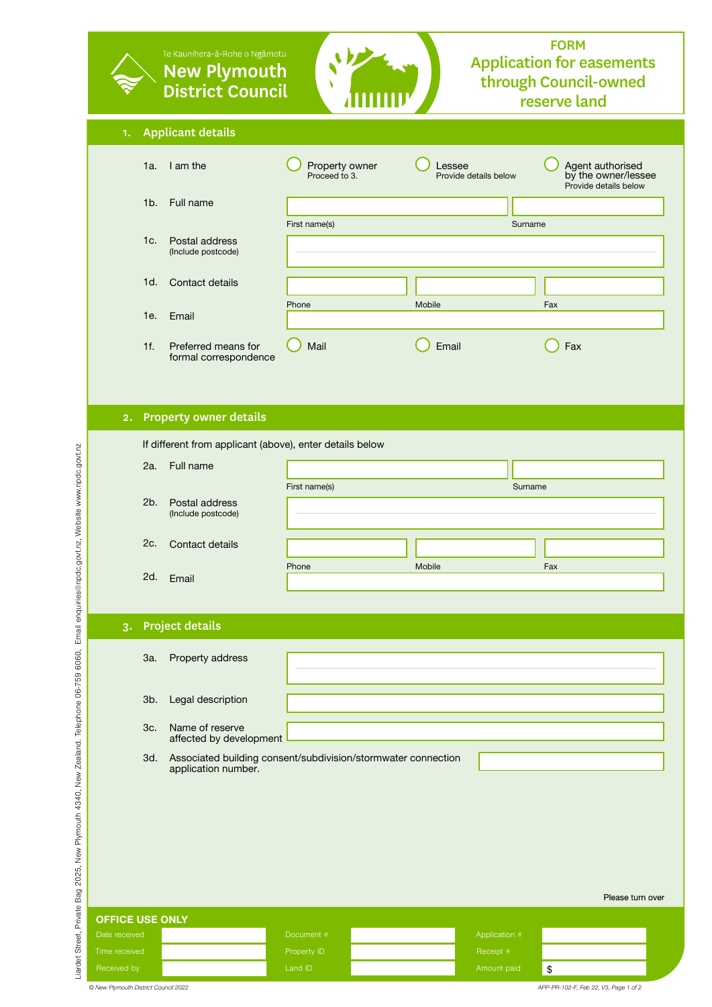|                                | Te Kaunihera-ā-Rohe o Ngāmotu<br><b>New Plymouth</b><br><b>District Council</b>             |                                 |                                 | <b>FORM</b><br><b>Application for easements</b><br>through Council-owned<br>reserve land |  |
|--------------------------------|---------------------------------------------------------------------------------------------|---------------------------------|---------------------------------|------------------------------------------------------------------------------------------|--|
| <b>Applicant details</b><br>1. |                                                                                             |                                 |                                 |                                                                                          |  |
| 1a.                            | I am the                                                                                    | Property owner<br>Proceed to 3. | Lessee<br>Provide details below | Agent authorised<br>by the owner/lessee<br>Provide details below                         |  |
| 1 <sub>b</sub>                 | Full name                                                                                   |                                 |                                 |                                                                                          |  |
| 1c.                            | Postal address<br>(Include postcode)                                                        | First name(s)                   | Surname                         |                                                                                          |  |
| 1d.                            | Contact details                                                                             |                                 |                                 |                                                                                          |  |
| 1e.                            | Email                                                                                       | Phone                           | Mobile                          | Fax                                                                                      |  |
| 1f.                            | Preferred means for<br>formal correspondence                                                | Mail                            | Email                           | Fax                                                                                      |  |
|                                |                                                                                             |                                 |                                 |                                                                                          |  |
|                                | 2. Property owner details                                                                   |                                 |                                 |                                                                                          |  |
|                                | If different from applicant (above), enter details below                                    |                                 |                                 |                                                                                          |  |
| 2a.                            | Full name                                                                                   |                                 |                                 |                                                                                          |  |
| 2b.                            | Postal address<br>(Include postcode)                                                        | First name(s)                   | Surname                         |                                                                                          |  |
| 2c.                            | Contact details                                                                             |                                 |                                 |                                                                                          |  |
|                                | 2d. Email                                                                                   | Phone                           | Mobile                          | Fax                                                                                      |  |
|                                |                                                                                             |                                 |                                 |                                                                                          |  |
| <b>Project details</b><br>3.   |                                                                                             |                                 |                                 |                                                                                          |  |
| 3a.                            | Property address                                                                            |                                 |                                 |                                                                                          |  |
| 3b.                            | Legal description                                                                           |                                 |                                 |                                                                                          |  |
| 3c.                            | Name of reserve<br>affected by development                                                  |                                 |                                 |                                                                                          |  |
|                                | Associated building consent/subdivision/stormwater connection<br>3d.<br>application number. |                                 |                                 |                                                                                          |  |
|                                |                                                                                             |                                 |                                 |                                                                                          |  |
|                                |                                                                                             |                                 |                                 |                                                                                          |  |
|                                |                                                                                             |                                 |                                 | Please turn over                                                                         |  |
| <b>OFFICE USE ONLY</b>         |                                                                                             |                                 |                                 |                                                                                          |  |
| Date received                  |                                                                                             | Document #                      | Application #                   |                                                                                          |  |
| Time received                  |                                                                                             | Property ID                     | Receipt #                       |                                                                                          |  |
| Received by                    |                                                                                             | Land ID                         | Amount paid                     | $\sqrt[6]{\frac{1}{2}}$                                                                  |  |

*© New Plymouth District Council 2022*

*APP-PR-102-F, Feb 22, V3, Page 1 of 2*